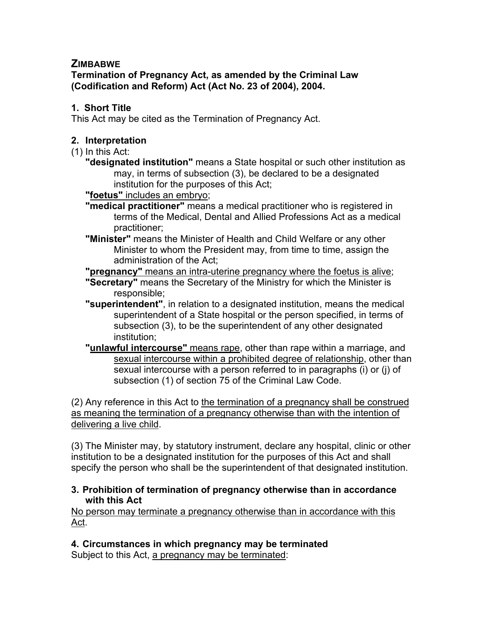# **ZIMBABWE**

**Termination of Pregnancy Act, as amended by the Criminal Law (Codification and Reform) Act (Act No. 23 of 2004), 2004.**

### **1. Short Title**

This Act may be cited as the Termination of Pregnancy Act.

#### **2. Interpretation**

- (1) In this Act:
	- **"designated institution"** means a State hospital or such other institution as may, in terms of subsection (3), be declared to be a designated institution for the purposes of this Act;
	- **"foetus"** includes an embryo;
	- **"medical practitioner"** means a medical practitioner who is registered in terms of the Medical, Dental and Allied Professions Act as a medical practitioner;
	- **"Minister"** means the Minister of Health and Child Welfare or any other Minister to whom the President may, from time to time, assign the administration of the Act;

**"pregnancy"** means an intra-uterine pregnancy where the foetus is alive;

- **"Secretary"** means the Secretary of the Ministry for which the Minister is responsible;
- **"superintendent"**, in relation to a designated institution, means the medical superintendent of a State hospital or the person specified, in terms of subsection (3), to be the superintendent of any other designated institution;
- **"unlawful intercourse"** means rape, other than rape within a marriage, and sexual intercourse within a prohibited degree of relationship, other than sexual intercourse with a person referred to in paragraphs (i) or (j) of subsection (1) of section 75 of the Criminal Law Code.

(2) Any reference in this Act to the termination of a pregnancy shall be construed as meaning the termination of a pregnancy otherwise than with the intention of delivering a live child.

(3) The Minister may, by statutory instrument, declare any hospital, clinic or other institution to be a designated institution for the purposes of this Act and shall specify the person who shall be the superintendent of that designated institution.

#### **3. Prohibition of termination of pregnancy otherwise than in accordance with this Act**

No person may terminate a pregnancy otherwise than in accordance with this Act.

**4. Circumstances in which pregnancy may be terminated** Subject to this Act, a pregnancy may be terminated: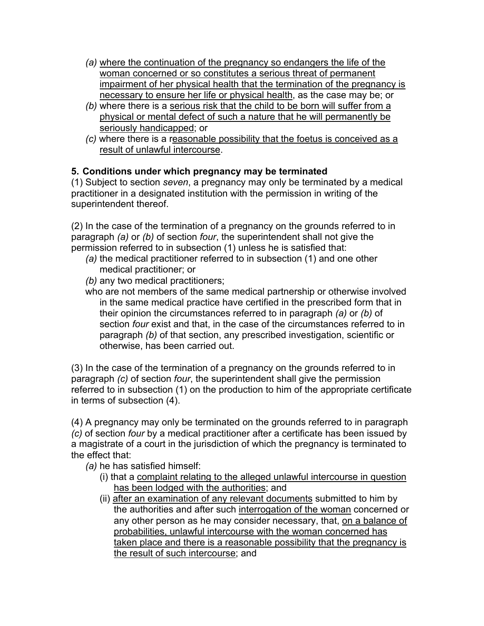- *(a)* where the continuation of the pregnancy so endangers the life of the woman concerned or so constitutes a serious threat of permanent impairment of her physical health that the termination of the pregnancy is necessary to ensure her life or physical health, as the case may be; or
- *(b)* where there is a serious risk that the child to be born will suffer from a physical or mental defect of such a nature that he will permanently be seriously handicapped; or
- *(c)* where there is a reasonable possibility that the foetus is conceived as a result of unlawful intercourse.

# **5. Conditions under which pregnancy may be terminated**

(1) Subject to section *seven*, a pregnancy may only be terminated by a medical practitioner in a designated institution with the permission in writing of the superintendent thereof.

(2) In the case of the termination of a pregnancy on the grounds referred to in paragraph *(a)* or *(b)* of section *four*, the superintendent shall not give the permission referred to in subsection (1) unless he is satisfied that:

- *(a)* the medical practitioner referred to in subsection (1) and one other medical practitioner; or
- *(b)* any two medical practitioners;
- who are not members of the same medical partnership or otherwise involved in the same medical practice have certified in the prescribed form that in their opinion the circumstances referred to in paragraph *(a)* or *(b)* of section *four* exist and that, in the case of the circumstances referred to in paragraph *(b)* of that section, any prescribed investigation, scientific or otherwise, has been carried out.

(3) In the case of the termination of a pregnancy on the grounds referred to in paragraph *(c)* of section *four*, the superintendent shall give the permission referred to in subsection (1) on the production to him of the appropriate certificate in terms of subsection (4).

(4) A pregnancy may only be terminated on the grounds referred to in paragraph *(c)* of section *four* by a medical practitioner after a certificate has been issued by a magistrate of a court in the jurisdiction of which the pregnancy is terminated to the effect that:

- *(a)* he has satisfied himself:
	- (i) that a complaint relating to the alleged unlawful intercourse in question has been lodged with the authorities; and
	- (ii) after an examination of any relevant documents submitted to him by the authorities and after such interrogation of the woman concerned or any other person as he may consider necessary, that, on a balance of probabilities, unlawful intercourse with the woman concerned has taken place and there is a reasonable possibility that the pregnancy is the result of such intercourse; and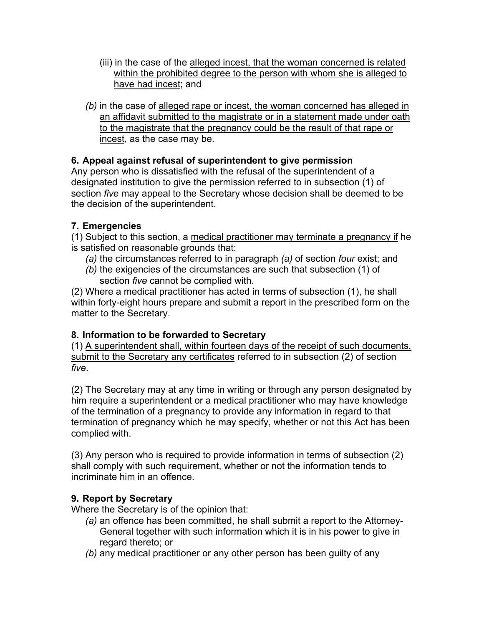- (iii) in the case of the alleged incest, that the woman concerned is related within the prohibited degree to the person with whom she is alleged to have had incest; and
- *(b)* in the case of alleged rape or incest, the woman concerned has alleged in an affidavit submitted to the magistrate or in a statement made under oath to the magistrate that the pregnancy could be the result of that rape or incest, as the case may be.

### **6. Appeal against refusal of superintendent to give permission**

Any person who is dissatisfied with the refusal of the superintendent of a designated institution to give the permission referred to in subsection (1) of section *five* may appeal to the Secretary whose decision shall be deemed to be the decision of the superintendent.

#### **7. Emergencies**

(1) Subject to this section, a medical practitioner may terminate a pregnancy if he is satisfied on reasonable grounds that:

- *(a)* the circumstances referred to in paragraph *(a)* of section *four* exist; and
- *(b)* the exigencies of the circumstances are such that subsection (1) of section *five* cannot be complied with.

(2) Where a medical practitioner has acted in terms of subsection (1), he shall within forty-eight hours prepare and submit a report in the prescribed form on the matter to the Secretary.

# **8. Information to be forwarded to Secretary**

(1) A superintendent shall, within fourteen days of the receipt of such documents, submit to the Secretary any certificates referred to in subsection (2) of section *five*.

(2) The Secretary may at any time in writing or through any person designated by him require a superintendent or a medical practitioner who may have knowledge of the termination of a pregnancy to provide any information in regard to that termination of pregnancy which he may specify, whether or not this Act has been complied with.

(3) Any person who is required to provide information in terms of subsection (2) shall comply with such requirement, whether or not the information tends to incriminate him in an offence.

# **9. Report by Secretary**

Where the Secretary is of the opinion that:

- *(a)* an offence has been committed, he shall submit a report to the Attorney-General together with such information which it is in his power to give in regard thereto; or
- *(b)* any medical practitioner or any other person has been guilty of any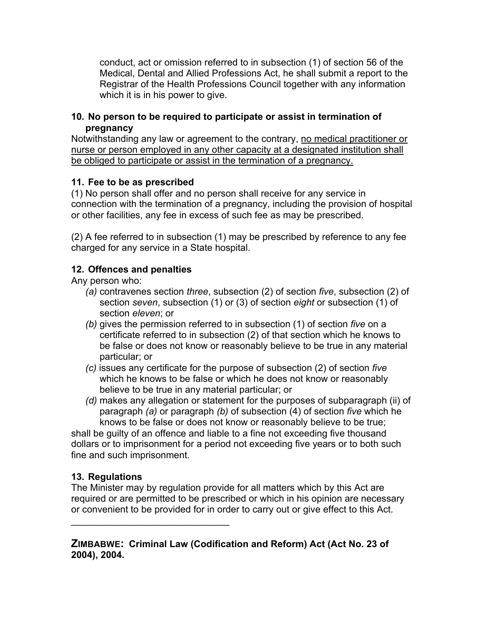conduct, act or omission referred to in subsection (1) of section 56 of the Medical, Dental and Allied Professions Act, he shall submit a report to the Registrar of the Health Professions Council together with any information which it is in his power to give.

#### **10. No person to be required to participate or assist in termination of pregnancy**

Notwithstanding any law or agreement to the contrary, no medical practitioner or nurse or person employed in any other capacity at a designated institution shall be obliged to participate or assist in the termination of a pregnancy.

### **11. Fee to be as prescribed**

(1) No person shall offer and no person shall receive for any service in connection with the termination of a pregnancy, including the provision of hospital or other facilities, any fee in excess of such fee as may be prescribed.

(2) A fee referred to in subsection (1) may be prescribed by reference to any fee charged for any service in a State hospital.

# **12. Offences and penalties**

Any person who:

- *(a)* contravenes section *three*, subsection (2) of section *five*, subsection (2) of section *seven*, subsection (1) or (3) of section *eight* or subsection (1) of section *eleven*; or
- *(b)* gives the permission referred to in subsection (1) of section *five* on a certificate referred to in subsection (2) of that section which he knows to be false or does not know or reasonably believe to be true in any material particular; or
- *(c)* issues any certificate for the purpose of subsection (2) of section *five* which he knows to be false or which he does not know or reasonably believe to be true in any material particular; or
- *(d)* makes any allegation or statement for the purposes of subparagraph (ii) of paragraph *(a)* or paragraph *(b)* of subsection (4) of section *five* which he knows to be false or does not know or reasonably believe to be true;

shall be guilty of an offence and liable to a fine not exceeding five thousand dollars or to imprisonment for a period not exceeding five years or to both such fine and such imprisonment.

# **13. Regulations**

 $\mathcal{L}=\{1,2,3,4,5\}$ 

The Minister may by regulation provide for all matters which by this Act are required or are permitted to be prescribed or which in his opinion are necessary or convenient to be provided for in order to carry out or give effect to this Act.

**ZIMBABWE: Criminal Law (Codification and Reform) Act (Act No. 23 of 2004), 2004.**